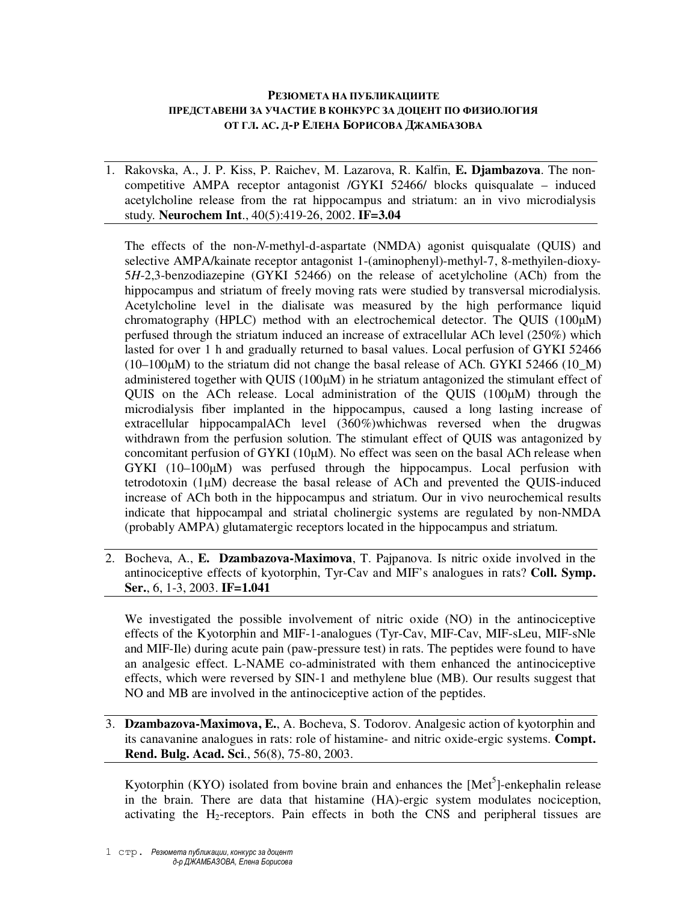## **РЕЗЮМЕТА НА ПУБЛИКАЦИИТЕ ПРЕДСТАВЕНИ ЗА УЧАСТИЕ В КОНКУРС ЗА ДОЦЕНТ ПО ФИЗИОЛОГИЯ ОТ ГЛ. АС. Д-Р ЕЛЕНА БОРИСОВА ДЖАМБАЗОВА**

1. Rakovska, A., J. P. Kiss, P. Raichev, M. Lazarova, R. Kalfin, **E. Djambazova**. The noncompetitive AMPA receptor antagonist /GYKI 52466/ blocks quisqualate – induced acetylcholine release from the rat hippocampus and striatum: an in vivo microdialysis study. **Neurochem Int**., 40(5):419-26, 2002. **IF=3.04**

The effects of the non-*N*-methyl-d-aspartate (NMDA) agonist quisqualate (QUIS) and selective AMPA/kainate receptor antagonist 1-(aminophenyl)-methyl-7, 8-methyilen-dioxy-5*H*-2,3-benzodiazepine (GYKI 52466) on the release of acetylcholine (ACh) from the hippocampus and striatum of freely moving rats were studied by transversal microdialysis. Acetylcholine level in the dialisate was measured by the high performance liquid chromatography (HPLC) method with an electrochemical detector. The QUIS (100µM) perfused through the striatum induced an increase of extracellular ACh level (250%) which lasted for over 1 h and gradually returned to basal values. Local perfusion of GYKI 52466  $(10-100\mu)$  to the striatum did not change the basal release of ACh. GYKI 52466 (10 M) administered together with QUIS  $(100\mu)$  in he striatum antagonized the stimulant effect of QUIS on the ACh release. Local administration of the QUIS (100µM) through the microdialysis fiber implanted in the hippocampus, caused a long lasting increase of extracellular hippocampalACh level (360%)whichwas reversed when the drugwas withdrawn from the perfusion solution. The stimulant effect of QUIS was antagonized by concomitant perfusion of GYKI ( $10\mu$ M). No effect was seen on the basal ACh release when GYKI (10–100 $\mu$ M) was perfused through the hippocampus. Local perfusion with tetrodotoxin (1µM) decrease the basal release of ACh and prevented the QUIS-induced increase of ACh both in the hippocampus and striatum. Our in vivo neurochemical results indicate that hippocampal and striatal cholinergic systems are regulated by non-NMDA (probably AMPA) glutamatergic receptors located in the hippocampus and striatum.

2. Bocheva, A., **E. Dzambazova-Maximova**, T. Pajpanova. Is nitric oxide involved in the antinociceptive effects of kyotorphin, Tyr-Cav and MIF's analogues in rats? **Coll. Symp. Ser.**, 6, 1-3, 2003. **IF=1.041**

We investigated the possible involvement of nitric oxide (NO) in the antinociceptive effects of the Kyotorphin and MIF-1-analogues (Tyr-Cav, MIF-Cav, MIF-sLeu, MIF-sNle and MIF-Ile) during acute pain (paw-pressure test) in rats. The peptides were found to have an analgesic effect. L-NAME co-administrated with them enhanced the antinociceptive effects, which were reversed by SIN-1 and methylene blue (MB). Our results suggest that NO and MB are involved in the antinociceptive action of the peptides.

3. **Dzambazova-Maximova, E.**, A. Bocheva, S. Todorov. Analgesic action of kyotorphin and its canavanine analogues in rats: role of histamine- and nitric oxide-ergic systems. **Compt. Rend. Bulg. Acad. Sci**., 56(8), 75-80, 2003.

Kyotorphin (KYO) isolated from bovine brain and enhances the  $[Met<sup>5</sup>]$ -enkephalin release in the brain. There are data that histamine (HA)-ergic system modulates nociception, activating the  $H_2$ -receptors. Pain effects in both the CNS and peripheral tissues are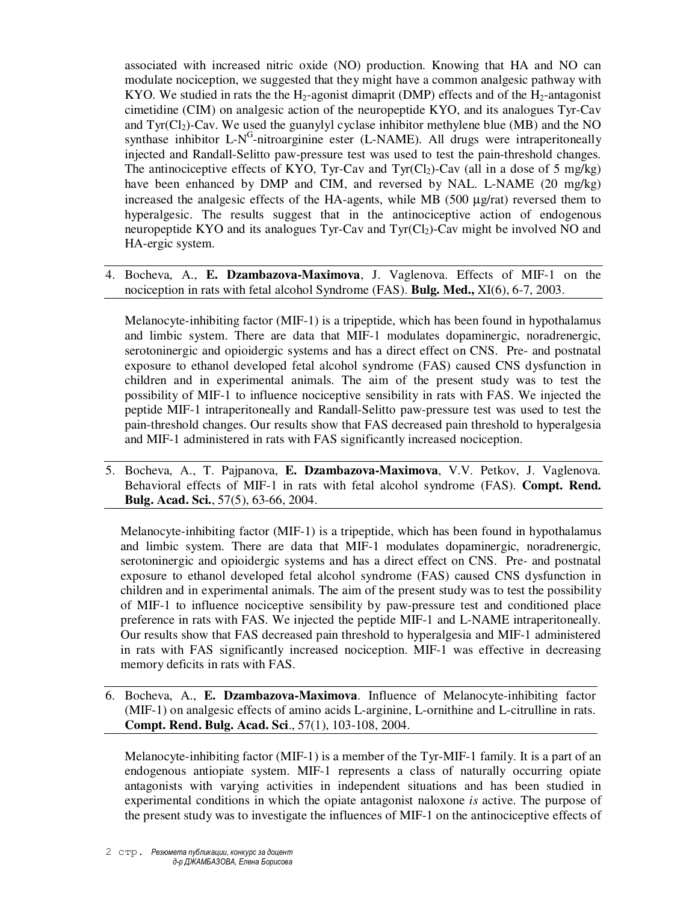associated with increased nitric oxide (NO) production. Knowing that HA and NO can modulate nociception, we suggested that they might have a common analgesic pathway with KYO. We studied in rats the the  $H_2$ -agonist dimaprit (DMP) effects and of the  $H_2$ -antagonist cimetidine (CIM) on analgesic action of the neuropeptide KYO, and its analogues Tyr-Cav and  $\text{Tyr}(\text{Cl}_2)$ -Cav. We used the guanylyl cyclase inhibitor methylene blue (MB) and the NO synthase inhibitor L-N<sup>G</sup>-nitroarginine ester (L-NAME). All drugs were intraperitoneally injected and Randall-Selitto paw-pressure test was used to test the pain-threshold changes. The antinociceptive effects of KYO, Tyr-Cav and Tyr(Cl<sub>2</sub>)-Cav (all in a dose of 5 mg/kg) have been enhanced by DMP and CIM, and reversed by NAL. L-NAME (20 mg/kg) increased the analgesic effects of the HA-agents, while MB  $(500 \mu g/rat)$  reversed them to hyperalgesic. The results suggest that in the antinociceptive action of endogenous neuropeptide KYO and its analogues Tyr-Cav and Tyr(Cl2)-Cav might be involved NO and HA-ergic system.

4. Bocheva, А., **E. Dzambazova-Maximova**, J. Vaglenova. Effects of MIF-1 on the nociception in rats with fetal alcohol Syndrome (FAS). **Bulg. Med.,** XI(6), 6-7, 2003.

Melanocyte-inhibiting factor (MIF-1) is a tripeptide, which has been found in hypothalamus and limbic system. There are data that MIF-1 modulates dopaminergic, noradrenergic, serotoninergic and opioidergic systems and has a direct effect on CNS. Pre- and postnatal exposure to ethanol developed fetal alcohol syndrome (FAS) caused CNS dysfunction in children and in experimental animals. The aim of the present study was to test the possibility of MIF-1 to influence nociceptive sensibility in rats with FAS. We injected the peptide MIF-1 intraperitoneally and Randall-Selitto paw-pressure test was used to test the pain-threshold changes. Our results show that FAS decreased pain threshold to hyperalgesia and MIF-1 administered in rats with FAS significantly increased nociception.

5. Bocheva, А., T. Pajpanova, **E. Dzambazova-Maximova**, V.V. Petkov, J. Vaglenova. Behavioral effects of MIF-1 in rats with fetal alcohol syndrome (FAS). **Compt. Rend. Bulg. Acad. Sci.**, 57(5), 63-66, 2004.

Melanocyte-inhibiting factor (MIF-1) is a tripeptide, which has been found in hypothalamus and limbic system. There are data that MIF-1 modulates dopaminergic, noradrenergic, serotoninergic and opioidergic systems and has a direct effect on CNS. Pre- and postnatal exposure to ethanol developed fetal alcohol syndrome (FAS) caused CNS dysfunction in children and in experimental animals. The aim of the present study was to test the possibility of MIF-1 to influence nociceptive sensibility by paw-pressure test and conditioned place preference in rats with FAS. We injected the peptide MIF-1 and L-NAME intraperitoneally. Our results show that FAS decreased pain threshold to hyperalgesia and MIF-1 administered in rats with FAS significantly increased nociception. MIF-1 was effective in decreasing memory deficits in rats with FAS.

6. Bocheva, A., **E. Dzambazova-Maximova**. Influence of Melanocyte-inhibiting factor (MIF-1) on analgesic effects of amino acids L-arginine, L-ornithine and L-citrulline in rats. **Compt. Rend. Bulg. Acad. Sci**., 57(1), 103-108, 2004.

Melanocyte-inhibiting factor (MIF-1) is a member of the Tyr-MIF-1 family. It is a part of an endogenous antiopiate system. MIF-1 represents a class of naturally occurring opiate antagonists with varying activities in independent situations and has been studied in experimental conditions in which the opiate antagonist naloxone *is* active. The purpose of the present study was to investigate the influences of MIF-1 on the antinociceptive effects of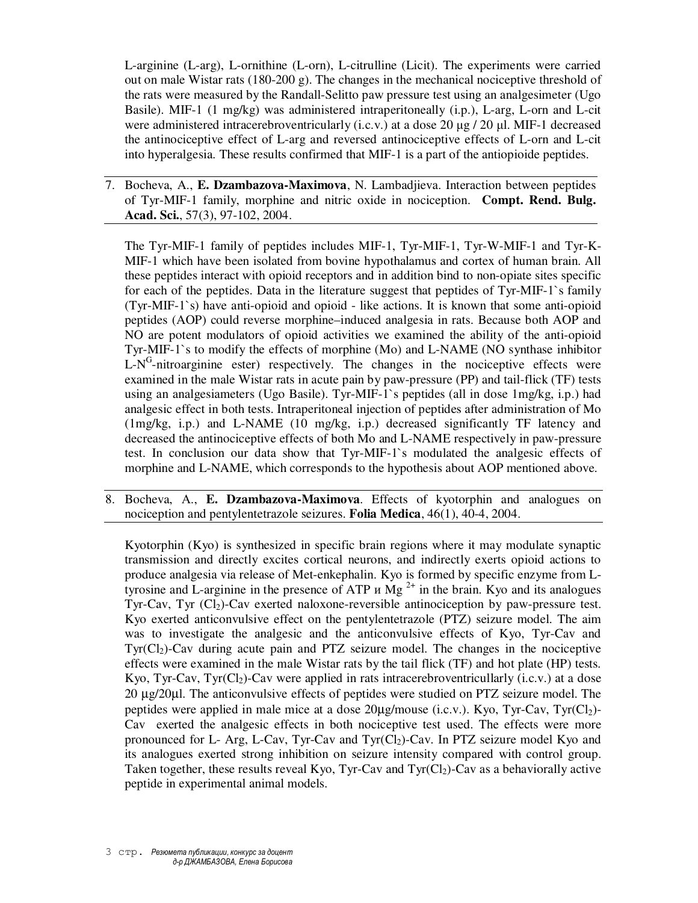L-arginine (L-arg), L-ornithine (L-orn), L-citrulline (Licit). The experiments were carried out on male Wistar rats (180-200 g). The changes in the mechanical nociceptive threshold of the rats were measured by the Randall-Selitto paw pressure test using an analgesimeter (Ugo Basile). MIF-1 (1 mg/kg) was administered intraperitoneally (i.p.), L-arg, L-orn and L-cit were administered intracerebroventricularly (i.c.v.) at a dose 20  $\mu$ g / 20  $\mu$ l. MIF-1 decreased the antinociceptive effect of L-arg and reversed antinociceptive effects of L-orn and L-cit into hyperalgesia. These results confirmed that MIF-1 is a part of the antiopioide peptides.

7. Bocheva, A., **E. Dzambazova-Maximova**, N. Lambadjieva. Interaction between peptides of Tyr-MIF-1 family, morphine and nitric oxide in nociception. **Compt. Rend. Bulg. Acad. Sci.**, 57(3), 97-102, 2004.

The Tyr-MIF-1 family of peptides includes MIF-1, Tyr-MIF-1, Tyr-W-MIF-1 and Tyr-K-MIF-1 which have been isolated from bovine hypothalamus and cortex of human brain. All these peptides interact with opioid receptors and in addition bind to non-opiate sites specific for each of the peptides. Data in the literature suggest that peptides of Tyr-MIF-1`s family (Tyr-MIF-1`s) have anti-opioid and opioid - like actions. It is known that some anti-opioid peptides (AOP) could reverse morphine–induced analgesia in rats. Because both AOP and NO are potent modulators of opioid activities we examined the ability of the anti-opioid Tyr-MIF-1`s to modify the effects of morphine (Mo) and L-NAME (NO synthase inhibitor  $L-N<sup>G</sup>$ -nitroarginine ester) respectively. The changes in the nociceptive effects were examined in the male Wistar rats in acute pain by paw-pressure (PP) and tail-flick (TF) tests using an analgesiameters (Ugo Basile). Tyr-MIF-1`s peptides (all in dose 1mg/kg, i.p.) had analgesic effect in both tests. Intraperitoneal injection of peptides after administration of Mo (1mg/kg, i.p.) and L-NAME (10 mg/kg, i.p.) decreased significantly TF latency and decreased the antinociceptive effects of both Mo and L-NAME respectively in paw-pressure test. In conclusion our data show that Tyr-MIF-1`s modulated the analgesic effects of morphine and L-NAME, which corresponds to the hypothesis about AOP mentioned above.

8. Bocheva, А., **E. Dzambazova-Maximova**. Effects of kyotorphin and analogues on nociception and pentylentetrazole seizures. **Folia Medica**, 46(1), 40-4, 2004.

Kyotorphin (Kyo) is synthesized in specific brain regions where it may modulate synaptic transmission and directly excites cortical neurons, and indirectly exerts opioid actions to produce analgesia via release of Met-enkephalin. Kyo is formed by specific enzyme from Ltyrosine and L-arginine in the presence of ATP  $\mu$  Mg<sup>2+</sup> in the brain. Kyo and its analogues Tyr-Cav, Tyr  $(Cl_2)$ -Cav exerted naloxone-reversible antinociception by paw-pressure test. Kyo exerted anticonvulsive effect on the pentylentetrazole (PTZ) seizure model. The aim was to investigate the analgesic and the anticonvulsive effects of Kyo, Tyr-Cav and  $Tyr(C_1)$ -Cav during acute pain and PTZ seizure model. The changes in the nociceptive effects were examined in the male Wistar rats by the tail flick (TF) and hot plate (HP) tests. Kyo, Tyr-Cav, Tyr(Cl<sub>2</sub>)-Cav were applied in rats intracerebroventricullarly (i.c.v.) at a dose 20 µg/20µl. The anticonvulsive effects of peptides were studied on PTZ seizure model. The peptides were applied in male mice at a dose  $20\mu\text{g/mouse (i.c.v.).}$  Kyo, Tyr-Cav, Tyr(Cl<sub>2</sub>)-Cav exerted the analgesic effects in both nociceptive test used. The effects were more pronounced for L- Arg, L-Cav, Tyr-Cav and Tyr $(C_1)$ -Cav. In PTZ seizure model Kyo and its analogues exerted strong inhibition on seizure intensity compared with control group. Taken together, these results reveal Kyo, Tyr-Cav and Tyr( $Cl<sub>2</sub>$ )-Cav as a behaviorally active peptide in experimental animal models.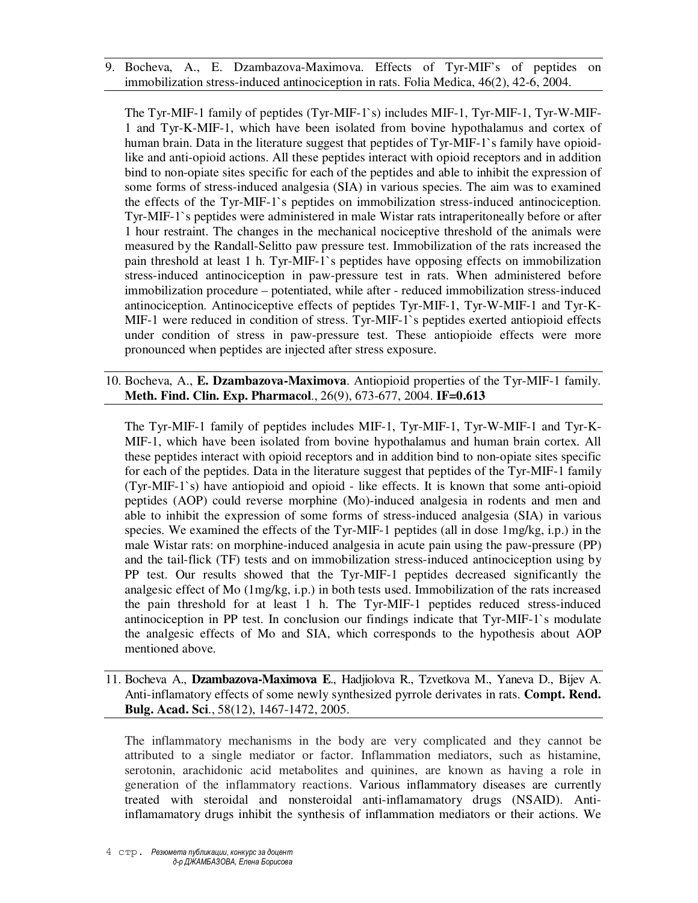9. Bocheva, A., E. Dzambazova-Maximova. Effects of Tyr-MIF's of peptides on immobilization stress-induced antinociception in rats. Folia Medica, 46(2), 42-6, 2004.

The Tyr-MIF-1 family of peptides (Tyr-MIF-1`s) includes MIF-1, Tyr-MIF-1, Tyr-W-MIF-1 and Tyr-K-MIF-1, which have been isolated from bovine hypothalamus and cortex of human brain. Data in the literature suggest that peptides of Tyr-MIF-1's family have opioidlike and anti-opioid actions. All these peptides interact with opioid receptors and in addition bind to non-opiate sites specific for each of the peptides and able to inhibit the expression of some forms of stress-induced analgesia (SIA) in various species. The aim was to examined the effects of the Tyr-MIF-1`s peptides on immobilization stress-induced antinociception. Tyr-MIF-1`s peptides were administered in male Wistar rats intraperitoneally before or after 1 hour restraint. The changes in the mechanical nociceptive threshold of the animals were measured by the Randall-Selitto paw pressure test. Immobilization of the rats increased the pain threshold at least 1 h. Tyr-MIF-1`s peptides have opposing effects on immobilization stress-induced antinociception in paw-pressure test in rats. When administered before immobilization procedure – potentiated, while after - reduced immobilization stress-induced antinociception. Antinociceptive effects of peptides Tyr-MIF-1, Tyr-W-MIF-1 and Tyr-K-MIF-1 were reduced in condition of stress. Tyr-MIF-1`s peptides exerted antiopioid effects under condition of stress in paw-pressure test. These antiopioide effects were more pronounced when peptides are injected after stress exposure.

10. Bocheva, A., **E. Dzambazova-Maximova**. Antiopioid properties of the Tyr-MIF-1 family. **Meth. Find. Clin. Exp. Pharmacol**., 26(9), 673-677, 2004. **IF=0.613**

The Tyr-MIF-1 family of peptides includes MIF-1, Tyr-MIF-1, Tyr-W-MIF-1 and Tyr-K-MIF-1, which have been isolated from bovine hypothalamus and human brain cortex. All these peptides interact with opioid receptors and in addition bind to non-opiate sites specific for each of the peptides. Data in the literature suggest that peptides of the Tyr-MIF-1 family (Tyr-MIF-1`s) have antiopioid and opioid - like effects. It is known that some anti-opioid peptides (AOP) could reverse morphine (Mo)-induced analgesia in rodents and men and able to inhibit the expression of some forms of stress-induced analgesia (SIA) in various species. We examined the effects of the Tyr-MIF-1 peptides (all in dose 1mg/kg, i.p.) in the male Wistar rats: on morphine-induced analgesia in acute pain using the paw-pressure (PP) and the tail-flick (TF) tests and on immobilization stress-induced antinociception using by PP test. Our results showed that the Tyr-MIF-1 peptides decreased significantly the analgesic effect of Mo (1mg/kg, i.p.) in both tests used. Immobilization of the rats increased the pain threshold for at least 1 h. The Tyr-MIF-1 peptides reduced stress-induced antinociception in PP test. In conclusion our findings indicate that Tyr-MIF-1`s modulate the analgesic effects of Mo and SIA, which corresponds to the hypothesis about AOP mentioned above.

11. Bocheva A., **Dzambazova-Maximova E**., Hadjiolova R., Tzvetkova M., Yaneva D., Bijev A. Anti-inflamatory effects of some newly synthesized pyrrole derivates in rats. **Compt. Rend. Bulg. Acad. Sci**., 58(12), 1467-1472, 2005.

The inflammatory mechanisms in the body are very complicated and they cannot be attributed to a single mediator or factor. Inflammation mediators, such as histamine, serotonin, arachidonic acid metabolites and quinines, are known as having a role in generation of the inflammatory reactions. Various inflammatory diseases are currently treated with steroidal and nonsteroidal anti-inflamamatory drugs (NSAID). Antiinflamamatory drugs inhibit the synthesis of inflammation mediators or their actions. We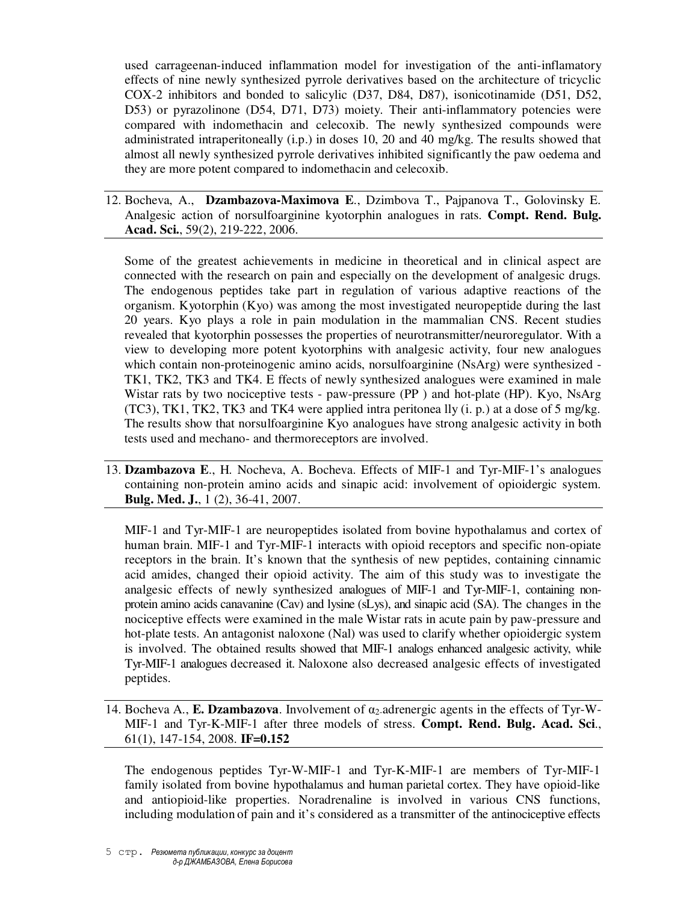used carrageenan-induced inflammation model for investigation of the anti-inflamatory effects of nine newly synthesized pyrrole derivatives based on the architecture of tricyclic COX-2 inhibitors and bonded to salicylic (D37, D84, D87), isonicotinamide (D51, D52, D53) or pyrazolinone (D54, D71, D73) moiety. Their anti-inflammatory potencies were compared with indomethacin and celecoxib. The newly synthesized compounds were administrated intraperitoneally (i.p.) in doses 10, 20 and 40 mg/kg. The results showed that almost all newly synthesized pyrrole derivatives inhibited significantly the paw oedema and they are more potent compared to indomethacin and celecoxib.

12. Bocheva, A., **Dzambazova-Maximova E**., Dzimbova T., Pajpanova T., Golovinsky E. Analgesic action of norsulfoarginine kyotorphin analogues in rats. **Compt. Rend. Bulg. Acad. Sci.**, 59(2), 219-222, 2006.

Some of the greatest achievements in medicine in theoretical and in clinical aspect are connected with the research on pain and especially on the development of analgesic drugs. The endogenous peptides take part in regulation of various adaptive reactions of the organism. Kyotorphin (Kyo) was among the most investigated neuropeptide during the last 20 years. Kyo plays a role in pain modulation in the mammalian CNS. Recent studies revealed that kyotorphin possesses the properties of neurotransmitter/neuroregulator. With a view to developing more potent kyotorphins with analgesic activity, four new analogues which contain non-proteinogenic amino acids, norsulfoarginine (NsArg) were synthesized - TK1, TK2, TK3 and TK4. E ffects of newly synthesized analogues were examined in male Wistar rats by two nociceptive tests - paw-pressure (PP) and hot-plate (HP). Kyo, NsArg  $(TC3)$ , TK1, TK2, TK3 and TK4 were applied intra peritonea lly  $(i, p)$  at a dose of 5 mg/kg. The results show that norsulfoarginine Kyo analogues have strong analgesic activity in both tests used and mechano- and thermoreceptors are involved.

13. **Dzambazova E**., H. Nocheva, A. Bocheva. Effects of MIF-1 and Tyr-MIF-1's analogues containing non-protein amino acids and sinapic acid: involvement of opioidergic system. **Bulg. Med. J.**, 1 (2), 36-41, 2007.

MIF-1 and Tyr-MIF-1 are neuropeptides isolated from bovine hypothalamus and cortex of human brain. MIF-1 and Tyr-MIF-1 interacts with opioid receptors and specific non-opiate receptors in the brain. It's known that the synthesis of new peptides, containing cinnamic acid amides, changed their opioid activity. The aim of this study was to investigate the analgesic effects of newly synthesized analogues of MIF-1 and Tyr-MIF-1, containing nonprotein amino acids canavanine (Cav) and lysine (sLys), and sinapic acid (SA). The changes in the nociceptive effects were examined in the male Wistar rats in acute pain by paw-pressure and hot-plate tests. An antagonist naloxone (Nal) was used to clarify whether opioidergic system is involved. The obtained results showed that MIF-1 analogs enhanced analgesic activity, while Tyr-MIF-1 analogues decreased it. Naloxone also decreased analgesic effects of investigated peptides.

14. Bocheva A., **E. Dzambazova**. Involvement of  $\alpha_2$ -adrenergic agents in the effects of Tyr-W-MIF-1 and Tyr-K-MIF-1 after three models of stress. **Compt. Rend. Bulg. Acad. Sci**., 61(1), 147-154, 2008. **IF=0.152**

The endogenous peptides Tyr-W-MIF-1 and Tyr-K-MIF-1 are members of Tyr-MIF-1 family isolated from bovine hypothalamus and human parietal cortex. They have opioid-like and antiopioid-like properties. Noradrenaline is involved in various CNS functions, including modulation of pain and it's considered as a transmitter of the antinociceptive effects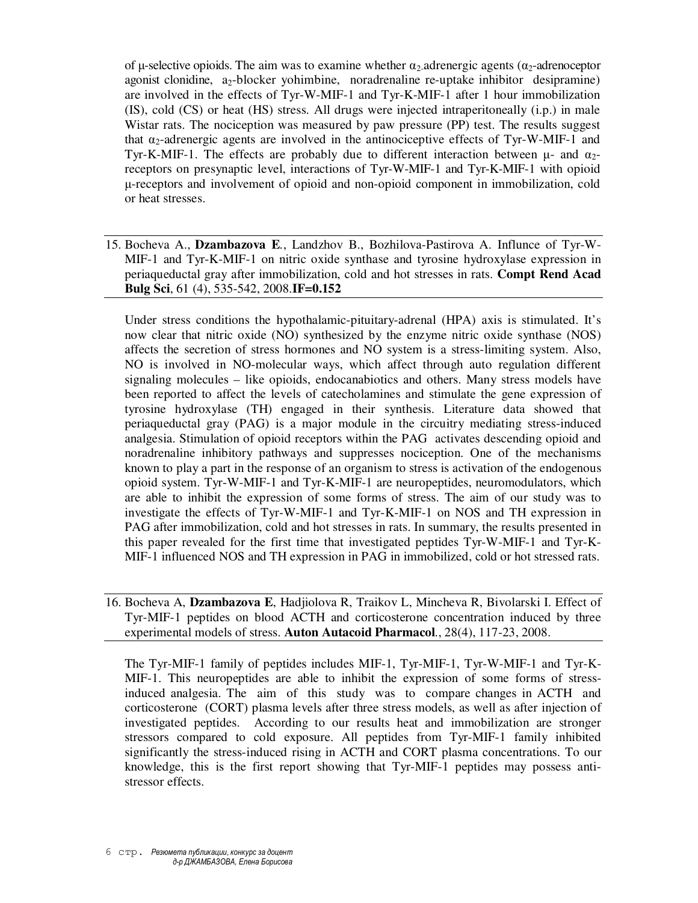of μ-selective opioids. The aim was to examine whether  $\alpha_2$ -adrenergic agents ( $\alpha_2$ -adrenoceptor agonist clonidine, a2-blocker yohimbine, noradrenaline re-uptake inhibitor desipramine) are involved in the effects of Tyr-W-MIF-1 and Tyr-K-MIF-1 after 1 hour immobilization (IS), cold (CS) or heat (HS) stress. All drugs were injected intraperitoneally (i.p.) in male Wistar rats. The nociception was measured by paw pressure (PP) test. The results suggest that  $\alpha_2$ -adrenergic agents are involved in the antinociceptive effects of Tyr-W-MIF-1 and Tyr-K-MIF-1. The effects are probably due to different interaction between  $\mu$ - and  $\alpha$ <sub>2</sub>receptors on presynaptic level, interactions of Tyr-W-MIF-1 and Tyr-K-MIF-1 with opioid µ-receptors and involvement of opioid and non-opioid component in immobilization, cold or heat stresses.

15. Bocheva A., **Dzambazova E***.*, Landzhov B., Bozhilova-Pastirova A. Influnce of Tyr-W-MIF-1 and Tyr-K-MIF-1 on nitric oxide synthase and tyrosine hydroxylase expression in periaqueductal gray after immobilization, cold and hot stresses in rats. **Compt Rend Acad Bulg Sci**, 61 (4), 535-542, 2008.**IF=0.152**

Under stress conditions the hypothalamic-pituitary-adrenal (HPA) axis is stimulated. It's now clear that nitric oxide (NO) synthesized by the enzyme nitric oxide synthase (NOS) affects the secretion of stress hormones and NO system is a stress-limiting system. Also, NO is involved in NO-molecular ways, which affect through auto regulation different signaling molecules – like opioids, endocanabiotics and others. Many stress models have been reported to affect the levels of catecholamines and stimulate the gene expression of tyrosine hydroxylase (TH) engaged in their synthesis. Literature data showed that periaqueductal gray (PAG) is a major module in the circuitry mediating stress-induced analgesia. Stimulation of opioid receptors within the PAG activates descending opioid and noradrenaline inhibitory pathways and suppresses nociception. One of the mechanisms known to play a part in the response of an organism to stress is activation of the endogenous opioid system. Tyr-W-MIF-1 and Tyr-K-MIF-1 are neuropeptides, neuromodulators, which are able to inhibit the expression of some forms of stress. The aim of our study was to investigate the effects of Tyr-W-MIF-1 and Tyr-K-MIF-1 on NOS and TH expression in PAG after immobilization, cold and hot stresses in rats. In summary, the results presented in this paper revealed for the first time that investigated peptides Tyr-W-MIF-1 and Tyr-K-MIF-1 influenced NOS and TH expression in PAG in immobilized, cold or hot stressed rats.

16. Bocheva A, **Dzambazova E**, Hadjiolova R, Traikov L, Mincheva R, Bivolarski I. Effect of Tyr-MIF-1 peptides on blood ACTH and corticosterone concentration induced by three experimental models of stress. **Auton Autacoid Pharmacol**., 28(4), 117-23, 2008.

The Tyr-MIF-1 family of peptides includes MIF-1, Tyr-MIF-1, Tyr-W-MIF-1 and Tyr-K-MIF-1. This neuropeptides are able to inhibit the expression of some forms of stressinduced analgesia. The aim of this study was to compare changes in ACTH and corticosterone (CORT) plasma levels after three stress models, as well as after injection of investigated peptides. According to our results heat and immobilization are stronger stressors compared to cold exposure. All peptides from Tyr-MIF-1 family inhibited significantly the stress-induced rising in ACTH and CORT plasma concentrations. To our knowledge, this is the first report showing that Tyr-MIF-1 peptides may possess antistressor effects.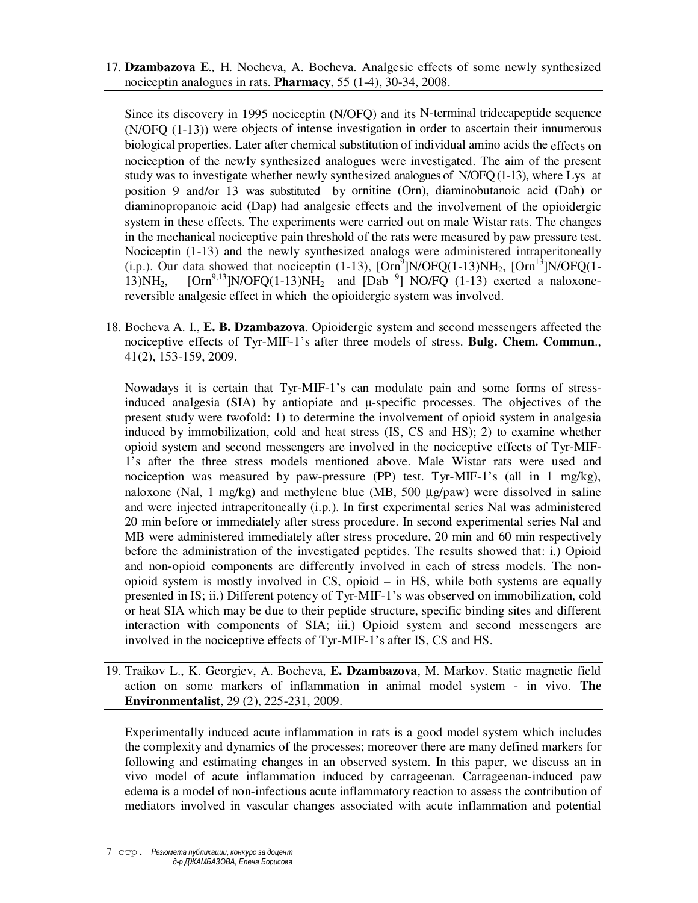17. **Dzambazova E***.,* H. Nocheva, A. Bocheva. Analgesic effects of some newly synthesized nociceptin analogues in rats. **Pharmacy**, 55 (1-4), 30-34, 2008.

Since its discovery in 1995 nociceptin (N/OFQ) and its N-terminal tridecapeptide sequence (N/OFQ (1-13)) were objects of intense investigation in order to ascertain their innumerous biological properties. Later after chemical substitution of individual amino acids the effects on nociception of the newly synthesized analogues were investigated. The aim of the present study was to investigate whether newly synthesized analogues of N/OFQ (1-13), where Lys at position 9 and/or 13 was substituted by ornitine (Orn), diaminobutanoic acid (Dab) or diaminopropanoic acid (Dap) had analgesic effects and the involvement of the opioidergic system in these effects. The experiments were carried out on male Wistar rats. The changes in the mechanical nociceptive pain threshold of the rats were measured by paw pressure test. Nociceptin (1-13) and the newly synthesized analogs were administered intraperitoneally (i.p.). Our data showed that nociceptin (1-13),  $[Orn^9]N/OFQ(1-13)NH_2$ ,  $[Orn^{13}]N/OFQ(1-13)$ 13) $NH_2$ , [Orn<sup>9,13</sup>]N/OFQ(1-13) $NH_2$  and [Dab<sup>9</sup>] NO/FQ (1-13) exerted a naloxonereversible analgesic effect in which the opioidergic system was involved.

18. Bocheva A. I., **E. B. Dzambazova**. Opioidergic system and second messengers affected the nociceptive effects of Tyr-MIF-1's after three models of stress. **Bulg. Chem. Commun**., 41(2), 153-159, 2009.

Nowadays it is certain that Tyr-MIF-1's can modulate pain and some forms of stressinduced analgesia (SIA) by antiopiate and µ-specific processes. The objectives of the present study were twofold: 1) to determine the involvement of opioid system in analgesia induced by immobilization, cold and heat stress (IS, CS and HS); 2) to examine whether opioid system and second messengers are involved in the nociceptive effects of Tyr-MIF-1's after the three stress models mentioned above. Male Wistar rats were used and nociception was measured by paw-pressure (PP) test. Tyr-MIF-1's (all in 1 mg/kg), naloxone (Nal, 1 mg/kg) and methylene blue (MB, 500  $\mu$ g/paw) were dissolved in saline and were injected intraperitoneally (i.p.). In first experimental series Nal was administered 20 min before or immediately after stress procedure. In second experimental series Nal and MB were administered immediately after stress procedure, 20 min and 60 min respectively before the administration of the investigated peptides. The results showed that: i.) Opioid and non-opioid components are differently involved in each of stress models. The nonopioid system is mostly involved in CS, opioid – in HS, while both systems are equally presented in IS; ii.) Different potency of Tyr-MIF-1's was observed on immobilization, cold or heat SIA which may be due to their peptide structure, specific binding sites and different interaction with components of SIA; iii.) Opioid system and second messengers are involved in the nociceptive effects of Tyr-MIF-1's after IS, CS and HS.

19. Traikov L., K. Georgiev, A. Bocheva, **E. Dzambazova**, M. Markov. Static magnetic field action on some markers of inflammation in animal model system - in vivo. **The Environmentalist**, 29 (2), 225-231, 2009.

Experimentally induced acute inflammation in rats is a good model system which includes the complexity and dynamics of the processes; moreover there are many defined markers for following and estimating changes in an observed system. In this paper, we discuss an in vivo model of acute inflammation induced by carrageenan. Carrageenan-induced paw edema is a model of non-infectious acute inflammatory reaction to assess the contribution of mediators involved in vascular changes associated with acute inflammation and potential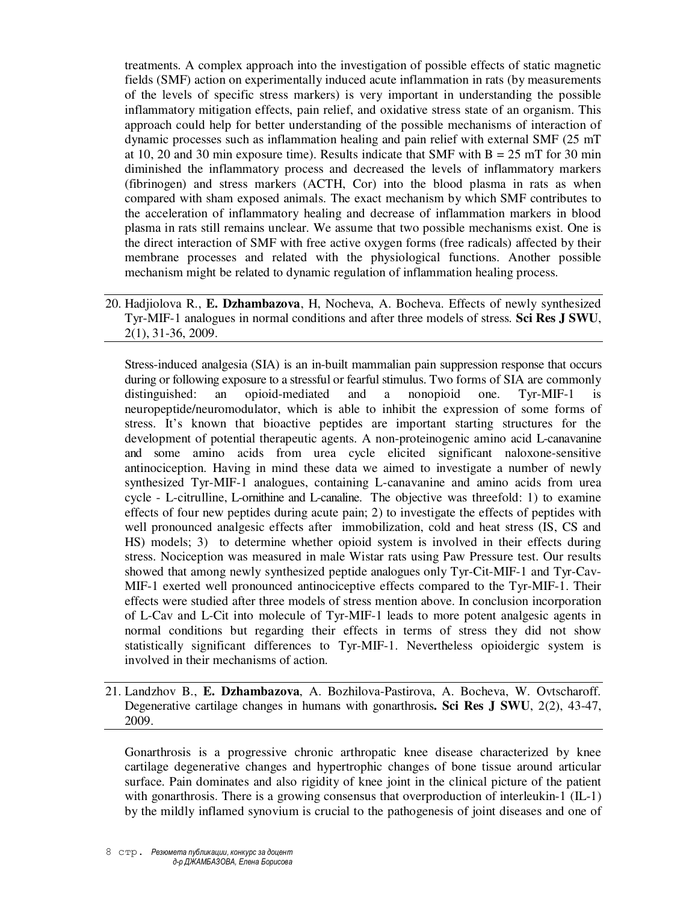treatments. A complex approach into the investigation of possible effects of static magnetic fields (SMF) action on experimentally induced acute inflammation in rats (by measurements of the levels of specific stress markers) is very important in understanding the possible inflammatory mitigation effects, pain relief, and oxidative stress state of an organism. This approach could help for better understanding of the possible mechanisms of interaction of dynamic processes such as inflammation healing and pain relief with external SMF (25 mT at 10, 20 and 30 min exposure time). Results indicate that SMF with  $B = 25$  mT for 30 min diminished the inflammatory process and decreased the levels of inflammatory markers (fibrinogen) and stress markers (ACTH, Cor) into the blood plasma in rats as when compared with sham exposed animals. The exact mechanism by which SMF contributes to the acceleration of inflammatory healing and decrease of inflammation markers in blood plasma in rats still remains unclear. We assume that two possible mechanisms exist. One is the direct interaction of SMF with free active oxygen forms (free radicals) affected by their membrane processes and related with the physiological functions. Another possible mechanism might be related to dynamic regulation of inflammation healing process.

20. Hadjiolova R., **E. Dzhambazova**, H, Nocheva, A. Bocheva. Effects of newly synthesized Tyr-MIF-1 analogues in normal conditions and after three models of stress*.* **Sci Res J SWU**, 2(1), 31-36, 2009.

Stress-induced analgesia (SIA) is an in-built mammalian pain suppression response that occurs during or following exposure to a stressful or fearful stimulus. Two forms of SIA are commonly distinguished: an opioid-mediated and a nonopioid one. Tyr-MIF-1 is neuropeptide/neuromodulator, which is able to inhibit the expression of some forms of stress. It's known that bioactive peptides are important starting structures for the development of potential therapeutic agents. A non-proteinogenic amino acid L-canavanine and some amino acids from urea cycle elicited significant naloxone-sensitive antinociception. Having in mind these data we aimed to investigate a number of newly synthesized Tyr-MIF-1 analogues, containing L-canavanine and amino acids from urea cycle - L-citrulline, L-ornithine and L-canaline. The objective was threefold: 1) to examine effects of four new peptides during acute pain; 2) to investigate the effects of peptides with well pronounced analgesic effects after immobilization, cold and heat stress (IS, CS and HS) models; 3) to determine whether opioid system is involved in their effects during stress. Nociception was measured in male Wistar rats using Paw Pressure test. Our results showed that among newly synthesized peptide analogues only Tyr-Cit-MIF-1 and Tyr-Cav-MIF-1 exerted well pronounced antinociceptive effects compared to the Tyr-MIF-1. Their effects were studied after three models of stress mention above. In conclusion incorporation of L-Cav and L-Cit into molecule of Tyr-MIF-1 leads to more potent analgesic agents in normal conditions but regarding their effects in terms of stress they did not show statistically significant differences to Tyr-MIF-1. Nevertheless opioidergic system is involved in their mechanisms of action.

## 21. Landzhov B., **E. Dzhambazova**, A. Bozhilova-Pastirova, A. Bocheva, W. Ovtscharoff. Degenerative cartilage changes in humans with gonarthrosis**. Sci Res J SWU**, 2(2), 43-47, 2009.

Gonarthrosis is a progressive chronic arthropatic knee disease characterized by knee cartilage degenerative changes and hypertrophic changes of bone tissue around articular surface. Pain dominates and also rigidity of knee joint in the clinical picture of the patient with gonarthrosis. There is a growing consensus that overproduction of interleukin-1 (IL-1) by the mildly inflamed synovium is crucial to the pathogenesis of joint diseases and one of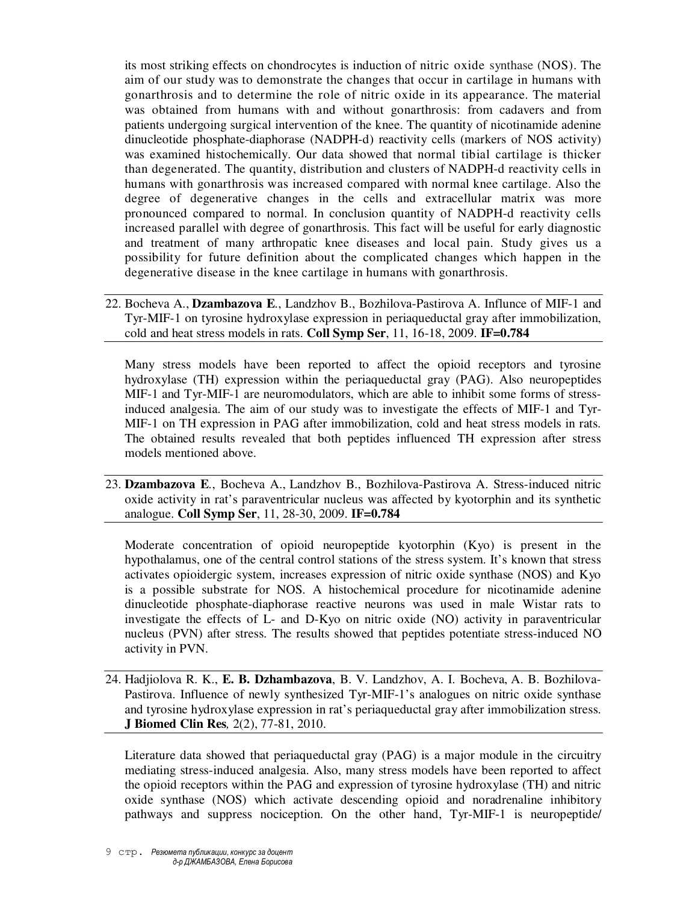its most striking effects on chondrocytes is induction of nitric oxide synthase (NOS). The aim of our study was to demonstrate the changes that occur in cartilage in humans with gonarthrosis and to determine the role of nitric oxide in its appearance. The material was obtained from humans with and without gonarthrosis: from cadavers and from patients undergoing surgical intervention of the knee. The quantity of nicotinamide adenine dinucleotide phosphate-diaphorase (NADPH-d) reactivity cells (markers of NOS activity) was examined histochemically. Our data showed that normal tibial cartilage is thicker than degenerated. The quantity, distribution and clusters of NADPH-d reactivity cells in humans with gonarthrosis was increased compared with normal knee cartilage. Also the degree of degenerative changes in the cells and extracellular matrix was more pronounced compared to normal. In conclusion quantity of NADPH-d reactivity cells increased parallel with degree of gonarthrosis. This fact will be useful for early diagnostic and treatment of many arthropatic knee diseases and local pain. Study gives us a possibility for future definition about the complicated changes which happen in the degenerative disease in the knee cartilage in humans with gonarthrosis.

22. Bocheva A., **Dzambazova E***.*, Landzhov B., Bozhilova-Pastirova A. Influnce of MIF-1 and Tyr-MIF-1 on tyrosine hydroxylase expression in periaqueductal gray after immobilization, cold and heat stress models in rats. **Coll Symp Ser**, 11, 16-18, 2009. **IF=0.784**

Many stress models have been reported to affect the opioid receptors and tyrosine hydroxylase (TH) expression within the periaqueductal gray (PAG). Also neuropeptides MIF-1 and Tyr-MIF-1 are neuromodulators, which are able to inhibit some forms of stressinduced analgesia. The aim of our study was to investigate the effects of MIF-1 and Tyr-MIF-1 on TH expression in PAG after immobilization, cold and heat stress models in rats. The obtained results revealed that both peptides influenced TH expression after stress models mentioned above.

23. **Dzambazova E***.*, Bocheva A., Landzhov B., Bozhilova-Pastirova A. Stress-induced nitric oxide activity in rat's paraventricular nucleus was affected by kyotorphin and its synthetic analogue. **Coll Symp Ser**, 11, 28-30, 2009. **IF=0.784** 

Moderate concentration of opioid neuropeptide kyotorphin (Kyo) is present in the hypothalamus, one of the central control stations of the stress system. It's known that stress activates opioidergic system, increases expression of nitric oxide synthase (NOS) and Kyo is a possible substrate for NOS. A histochemical procedure for nicotinamide adenine dinucleotide phosphate-diaphorase reactive neurons was used in male Wistar rats to investigate the effects of L- and D-Kyo on nitric oxide (NO) activity in paraventricular nucleus (PVN) after stress. The results showed that peptides potentiate stress-induced NO activity in PVN.

24. Hadjiolova R. K., **E. B. Dzhambazova**, B. V. Landzhov, A. I. Bocheva, A. B. Bozhilova-Pastirova. Influence of newly synthesized Tyr-MIF-1's analogues on nitric oxide synthase and tyrosine hydroxylase expression in rat's periaqueductal gray after immobilization stress. **J Biomed Clin Res***,* 2(2), 77-81, 2010.

Literature data showed that periaqueductal gray (PAG) is a major module in the circuitry mediating stress-induced analgesia. Also, many stress models have been reported to affect the opioid receptors within the PAG and expression of tyrosine hydroxylase (TH) and nitric oxide synthase (NOS) which activate descending opioid and noradrenaline inhibitory pathways and suppress nociception. On the other hand, Tyr-MIF-1 is neuropeptide/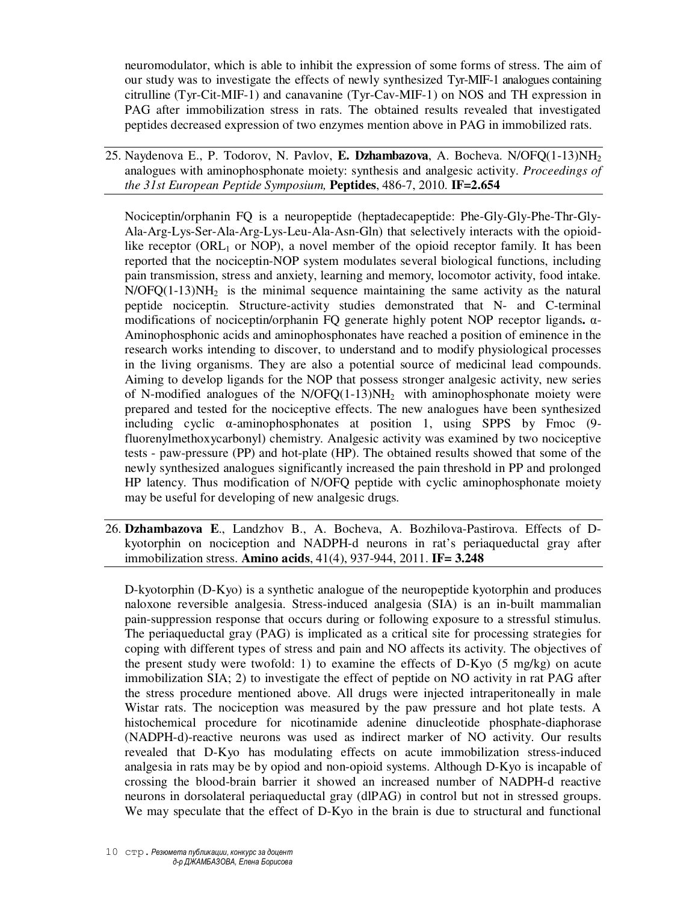neuromodulator, which is able to inhibit the expression of some forms of stress. The aim of our study was to investigate the effects of newly synthesized Tyr-MIF-1 analogues containing citrulline (Tyr-Cit-MIF-1) and canavanine (Tyr-Cav-MIF-1) on NOS and TH expression in PAG after immobilization stress in rats. The obtained results revealed that investigated peptides decreased expression of two enzymes mention above in PAG in immobilized rats.

25. Naydenova E., P. Todorov, N. Pavlov, **E. Dzhambazova**, A. Bocheva. N/OFQ(1-13)NH<sup>2</sup> analogues with aminophosphonate moiety: synthesis and analgesic activity. *Proceedings of the 31st European Peptide Symposium,* **Peptides**, 486-7, 2010. **IF=2.654**

Nociceptin/orphanin FQ is a neuropeptide (heptadecapeptide: Phe-Gly-Gly-Phe-Thr-Gly-Ala-Arg-Lys-Ser-Ala-Arg-Lys-Leu-Ala-Asn-Gln) that selectively interacts with the opioidlike receptor (ORL $_1$  or NOP), a novel member of the opioid receptor family. It has been reported that the nociceptin-NOP system modulates several biological functions, including pain transmission, stress and anxiety, learning and memory, locomotor activity, food intake.  $N/OFQ(1-13)NH<sub>2</sub>$  is the minimal sequence maintaining the same activity as the natural peptide nociceptin. Structure-activity studies demonstrated that N- and C-terminal modifications of nociceptin/orphanin FQ generate highly potent NOP receptor ligands**.** α-Aminophosphonic acids and aminophosphonates have reached a position of eminence in the research works intending to discover, to understand and to modify physiological processes in the living organisms. They are also a potential source of medicinal lead compounds. Aiming to develop ligands for the NOP that possess stronger analgesic activity, new series of N-modified analogues of the  $N/OFQ(1-13)NH<sub>2</sub>$  with aminophosphonate moiety were prepared and tested for the nociceptive effects. The new analogues have been synthesized including cyclic  $\alpha$ -aminophosphonates at position 1, using SPPS by Fmoc (9fluorenylmethoxycarbonyl) chemistry. Analgesic activity was examined by two nociceptive tests - paw-pressure (PP) and hot-plate (HP). The obtained results showed that some of the newly synthesized analogues significantly increased the pain threshold in PP and prolonged HP latency. Thus modification of N/OFQ peptide with cyclic aminophosphonate moiety may be useful for developing of new analgesic drugs.

26. **Dzhambazova E**., Landzhov B., A. Bocheva, A. Bozhilova-Pastirova. Effects of Dkyotorphin on nociception and NADPH-d neurons in rat's periaqueductal gray after immobilization stress. **Amino acids**, 41(4), 937-944, 2011. **IF= 3.248**

D-kyotorphin (D-Kyo) is a synthetic analogue of the neuropeptide kyotorphin and produces naloxone reversible analgesia. Stress-induced analgesia (SIA) is an in-built mammalian pain-suppression response that occurs during or following exposure to a stressful stimulus. The periaqueductal gray (PAG) is implicated as a critical site for processing strategies for coping with different types of stress and pain and NO affects its activity. The objectives of the present study were twofold: 1) to examine the effects of D-Kyo (5 mg/kg) on acute immobilization SIA; 2) to investigate the effect of peptide on NO activity in rat PAG after the stress procedure mentioned above. All drugs were injected intraperitoneally in male Wistar rats. The nociception was measured by the paw pressure and hot plate tests. A histochemical procedure for nicotinamide adenine dinucleotide phosphate-diaphorase (NADPH-d)-reactive neurons was used as indirect marker of NO activity. Our results revealed that D-Kyo has modulating effects on acute immobilization stress-induced analgesia in rats may be by opiod and non-opioid systems. Although D-Kyo is incapable of crossing the blood-brain barrier it showed an increased number of NADPH-d reactive neurons in dorsolateral periaqueductal gray (dlPAG) in control but not in stressed groups. We may speculate that the effect of D-Kyo in the brain is due to structural and functional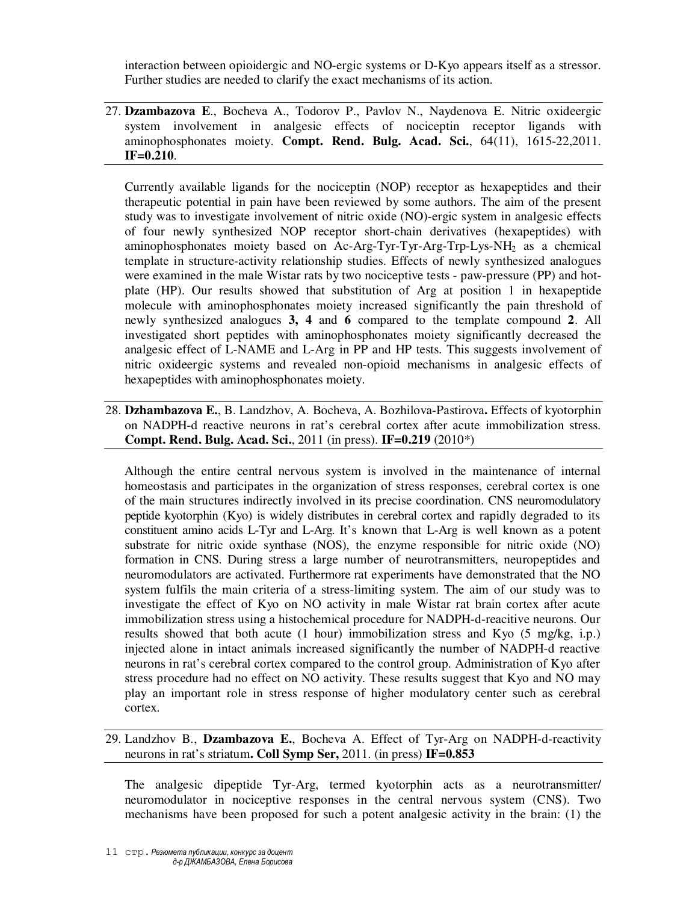interaction between opioidergic and NO-ergic systems or D-Kyo appears itself as a stressor. Further studies are needed to clarify the exact mechanisms of its action.

27. **Dzambazova E**., Bocheva A., Todorov P., Pavlov N., Naydenova E. Nitric oxideergic system involvement in analgesic effects of nociceptin receptor ligands with aminophosphonates moiety. **Compt. Rend. Bulg. Acad. Sci.**, 64(11), 1615-22,2011. **IF=0.210**.

Currently available ligands for the nociceptin (NOP) receptor as hexapeptides and their therapeutic potential in pain have been reviewed by some authors. The aim of the present study was to investigate involvement of nitric oxide (NO)-ergic system in analgesic effects of four newly synthesized NOP receptor short-chain derivatives (hexapeptides) with aminophosphonates moiety based on Ac-Arg-Tyr-Tyr-Arg-Trp-Lys-NH2 as a chemical template in structure-activity relationship studies. Effects of newly synthesized analogues were examined in the male Wistar rats by two nociceptive tests - paw-pressure (PP) and hotplate (HP). Our results showed that substitution of Arg at position 1 in hexapeptide molecule with aminophosphonates moiety increased significantly the pain threshold of newly synthesized analogues **3, 4** and **6** compared to the template compound **2**. All investigated short peptides with aminophosphonates moiety significantly decreased the analgesic effect of L-NAME and L-Arg in PP and HP tests. This suggests involvement of nitric oxideergic systems and revealed non-opioid mechanisms in analgesic effects of hexapeptides with aminophosphonates moiety.

28. **Dzhambazova E.**, B. Landzhov, A. Bocheva, A. Bozhilova-Pastirova**.** Effects of kyotorphin on NADPH-d reactive neurons in rat's cerebral cortex after acute immobilization stress. **Compt. Rend. Bulg. Acad. Sci.**, 2011 (in press). **IF=0.219** (2010\*)

Although the entire central nervous system is involved in the maintenance of internal homeostasis and participates in the organization of stress responses, cerebral cortex is one of the main structures indirectly involved in its precise coordination. CNS neuromodulatory peptide kyotorphin (Kyo) is widely distributes in cerebral cortex and rapidly degraded to its constituent amino acids L-Tyr and L-Arg. It's known that L-Arg is well known as a potent substrate for nitric oxide synthase (NOS), the enzyme responsible for nitric oxide (NO) formation in CNS. During stress a large number of neurotransmitters, neuropeptides and neuromodulators are activated. Furthermore rat experiments have demonstrated that the NO system fulfils the main criteria of a stress-limiting system. The aim of our study was to investigate the effect of Kyo on NO activity in male Wistar rat brain cortex after acute immobilization stress using a histochemical procedure for NADPH-d-reacitive neurons. Our results showed that both acute (1 hour) immobilization stress and Kyo (5 mg/kg, i.p.) injected alone in intact animals increased significantly the number of NADPH-d reactive neurons in rat's cerebral cortex compared to the control group. Administration of Kyo after stress procedure had no effect on NO activity. These results suggest that Kyo and NO may play an important role in stress response of higher modulatory center such as cerebral cortex.

## 29. Landzhov B., **Dzambazova E.**, Bocheva A. Effect of Tyr-Arg on NADPH-d-reactivity neurons in rat's striatum**. Coll Symp Ser,** 2011. (in press) **IF=0.853**

The analgesic dipeptide Tyr-Arg, termed kyotorphin acts as a neurotransmitter/ neuromodulator in nociceptive responses in the central nervous system (CNS). Two mechanisms have been proposed for such a potent analgesic activity in the brain: (1) the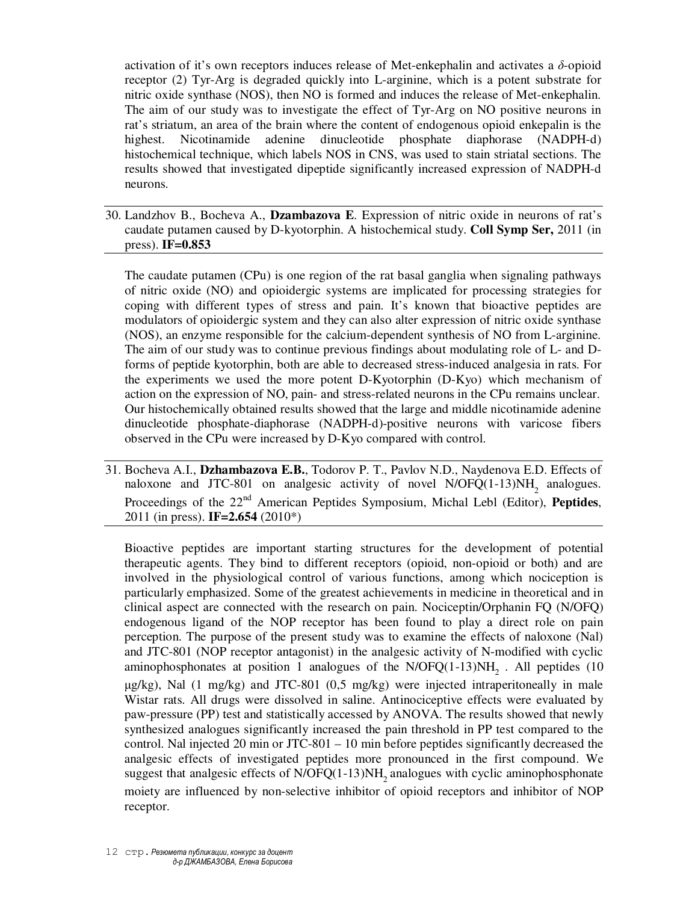activation of it's own receptors induces release of Met-enkephalin and activates a *δ*-opioid receptor (2) Tyr-Arg is degraded quickly into L-arginine, which is a potent substrate for nitric oxide synthase (NOS), then NO is formed and induces the release of Met-enkephalin. The aim of our study was to investigate the effect of Tyr-Arg on NO positive neurons in rat's striatum, an area of the brain where the content of endogenous opioid enkepalin is the highest. Nicotinamide adenine dinucleotide phosphate diaphorase (NADPH-d) histochemical technique, which labels NOS in CNS, was used to stain striatal sections. The results showed that investigated dipeptide significantly increased expression of NADPH-d neurons.

30. Landzhov B., Bocheva A., **Dzambazova E**. Expression of nitric oxide in neurons of rat's caudate putamen caused by D-kyotorphin. A histochemical study. **Coll Symp Ser,** 2011 (in press). **IF=0.853**

The caudate putamen (CPu) is one region of the rat basal ganglia when signaling pathways of nitric oxide (NO) and opioidergic systems are implicated for processing strategies for coping with different types of stress and pain. It's known that bioactive peptides are modulators of opioidergic system and they can also alter expression of nitric oxide synthase (NOS), an enzyme responsible for the calcium-dependent synthesis of NO from L-arginine. The aim of our study was to continue previous findings about modulating role of L- and Dforms of peptide kyotorphin, both are able to decreased stress-induced analgesia in rats. For the experiments we used the more potent D-Kyotorphin (D-Kyo) which mechanism of action on the expression of NO, pain- and stress-related neurons in the CPu remains unclear. Our histochemically obtained results showed that the large and middle nicotinamide adenine dinucleotide phosphate-diaphorase (NADPH-d)-positive neurons with varicose fibers observed in the CPu were increased by D-Kyo compared with control.

31. Bocheva A.I., **Dzhambazova E.B.**, Todorov P. T., Pavlov N.D., Naydenova E.D. Effects of naloxone and JTC-801 on analgesic activity of novel  $N/OFQ(1-13)NH$ <sub>2</sub> analogues. Proceedings of the 22<sup>nd</sup> American Peptides Symposium, Michal Lebl (Editor), Peptides, 2011 (in press). **IF=2.654** (2010\*)

Bioactive peptides are important starting structures for the development of potential therapeutic agents. They bind to different receptors (opioid, non-opioid or both) and are involved in the physiological control of various functions, among which nociception is particularly emphasized. Some of the greatest achievements in medicine in theoretical and in clinical aspect are connected with the research on pain. Nociceptin/Orphanin FQ (N/OFQ) endogenous ligand of the NOP receptor has been found to play a direct role on pain perception. The purpose of the present study was to examine the effects of naloxone (Nal) and JTC-801 (NOP receptor antagonist) in the analgesic activity of N-modified with cyclic aminophosphonates at position 1 analogues of the  $N/OFQ(1-13)NH<sub>2</sub>$ . All peptides (10) µg/kg), Nal (1 mg/kg) and JTC-801 (0,5 mg/kg) were injected intraperitoneally in male Wistar rats. All drugs were dissolved in saline. Antinociceptive effects were evaluated by paw-pressure (PP) test and statistically accessed by ANOVA. The results showed that newly synthesized analogues significantly increased the pain threshold in PP test compared to the control. Nal injected 20 min or JTC-801 – 10 min before peptides significantly decreased the analgesic effects of investigated peptides more pronounced in the first compound. We suggest that analgesic effects of  $N/OFQ(1-13)NH<sub>2</sub>$  analogues with cyclic aminophosphonate moiety are influenced by non-selective inhibitor of opioid receptors and inhibitor of NOP receptor.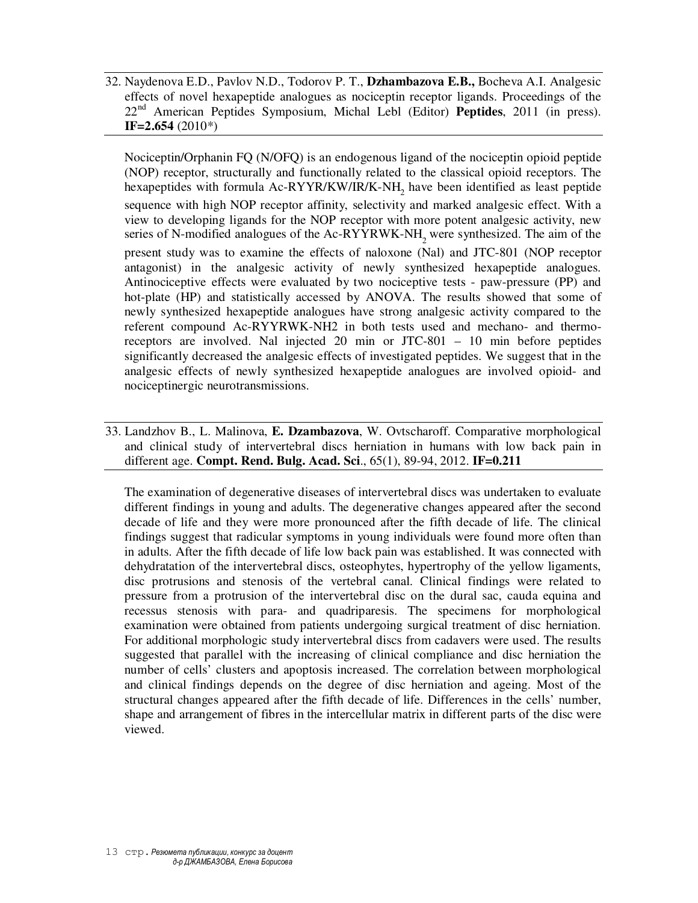32. Naydenova E.D., Pavlov N.D., Todorov P. T., **Dzhambazova E.B.,** Bocheva A.I. Analgesic effects of novel hexapeptide analogues as nociceptin receptor ligands. Proceedings of the 22nd American Peptides Symposium, Michal Lebl (Editor) **Peptides**, 2011 (in press). **IF=2.654** (2010\*)

Nociceptin/Orphanin FQ (N/OFQ) is an endogenous ligand of the nociceptin opioid peptide (NOP) receptor, structurally and functionally related to the classical opioid receptors. The hexapeptides with formula Ac-RYYR/KW/IR/K-NH<sub>2</sub> have been identified as least peptide sequence with high NOP receptor affinity, selectivity and marked analgesic effect. With a view to developing ligands for the NOP receptor with more potent analgesic activity, new series of N-modified analogues of the Ac-RYYRWK-NH<sub>2</sub> were synthesized. The aim of the present study was to examine the effects of naloxone (Nal) and JTC-801 (NOP receptor antagonist) in the analgesic activity of newly synthesized hexapeptide analogues. Antinociceptive effects were evaluated by two nociceptive tests - paw-pressure (PP) and hot-plate (HP) and statistically accessed by ANOVA. The results showed that some of newly synthesized hexapeptide analogues have strong analgesic activity compared to the referent compound Ac-RYYRWK-NH2 in both tests used and mechano- and thermoreceptors are involved. Nal injected 20 min or JTC-801 – 10 min before peptides significantly decreased the analgesic effects of investigated peptides. We suggest that in the analgesic effects of newly synthesized hexapeptide analogues are involved opioid- and nociceptinergic neurotransmissions.

33. Landzhov B., L. Malinova, **E. Dzambazova**, W. Ovtscharoff. Comparative morphological and clinical study of intervertebral discs herniation in humans with low back pain in different age. **Compt. Rend. Bulg. Acad. Sci**., 65(1), 89-94, 2012. **IF=0.211**

The examination of degenerative diseases of intervertebral discs was undertaken to evaluate different findings in young and adults. The degenerative changes appeared after the second decade of life and they were more pronounced after the fifth decade of life. The clinical findings suggest that radicular symptoms in young individuals were found more often than in adults. After the fifth decade of life low back pain was established. It was connected with dehydratation of the intervertebral discs, osteophytes, hypertrophy of the yellow ligaments, disc protrusions and stenosis of the vertebral canal. Clinical findings were related to pressure from a protrusion of the intervertebral disc on the dural sac, cauda equina and recessus stenosis with para- and quadriparesis. The specimens for morphological examination were obtained from patients undergoing surgical treatment of disc herniation. For additional morphologic study intervertebral discs from cadavers were used. The results suggested that parallel with the increasing of clinical compliance and disc herniation the number of cells' clusters and apoptosis increased. The correlation between morphological and clinical findings depends on the degree of disc herniation and ageing. Most of the structural changes appeared after the fifth decade of life. Differences in the cells' number, shape and arrangement of fibres in the intercellular matrix in different parts of the disc were viewed.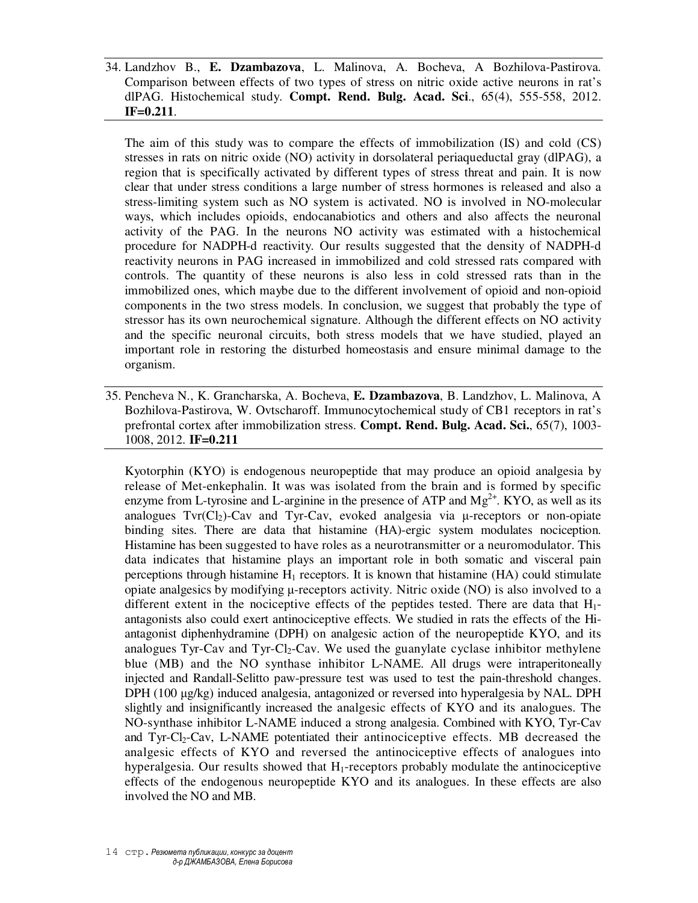34. Landzhov B., **E. Dzambazova**, L. Malinova, A. Bocheva, A Bozhilova-Pastirova. Comparison between effects of two types of stress on nitric oxide active neurons in rat's dlPAG. Histochemical study. **Compt. Rend. Bulg. Acad. Sci**., 65(4), 555-558, 2012. **IF=0.211**.

The aim of this study was to compare the effects of immobilization (IS) and cold (CS) stresses in rats on nitric oxide (NO) activity in dorsolateral periaqueductal gray (dlPAG), a region that is specifically activated by different types of stress threat and pain. It is now clear that under stress conditions a large number of stress hormones is released and also a stress-limiting system such as NO system is activated. NO is involved in NO-molecular ways, which includes opioids, endocanabiotics and others and also affects the neuronal activity of the PAG. In the neurons NO activity was estimated with a histochemical procedure for NADPH-d reactivity. Our results suggested that the density of NADPH-d reactivity neurons in PAG increased in immobilized and cold stressed rats compared with controls. The quantity of these neurons is also less in cold stressed rats than in the immobilized ones, which maybe due to the different involvement of opioid and non-opioid components in the two stress models. In conclusion, we suggest that probably the type of stressor has its own neurochemical signature. Although the different effects on NO activity and the specific neuronal circuits, both stress models that we have studied, played an important role in restoring the disturbed homeostasis and ensure minimal damage to the organism.

35. Pencheva N., K. Grancharska, A. Bocheva, **E. Dzambazova**, B. Landzhov, L. Malinova, A Bozhilova-Pastirova, W. Ovtscharoff. Immunocytochemical study of CB1 receptors in rat's prefrontal cortex after immobilization stress. **Compt. Rend. Bulg. Acad. Sci.**, 65(7), 1003- 1008, 2012. **IF=0.211**

Kyotorphin (KYO) is endogenous neuropeptide that may produce an opioid analgesia by release of Met-enkephalin. It was was isolated from the brain and is formed by specific enzyme from L-tyrosine and L-arginine in the presence of ATP and  $Mg^{2+}$ . KYO, as well as its analogues  $Tvr(Cl<sub>2</sub>)$ -Cav and Tyr-Cav, evoked analgesia via  $\mu$ -receptors or non-opiate binding sites. There are data that histamine (HA)-ergic system modulates nociception. Histamine has been suggested to have roles as a neurotransmitter or a neuromodulator. This data indicates that histamine plays an important role in both somatic and visceral pain perceptions through histamine  $H_1$  receptors. It is known that histamine (HA) could stimulate opiate analgesics by modifying  $\mu$ -receptors activity. Nitric oxide (NO) is also involved to a different extent in the nociceptive effects of the peptides tested. There are data that  $H_1$ antagonists also could exert antinociceptive effects. We studied in rats the effects of the Hiantagonist diphenhydramine (DPH) on analgesic action of the neuropeptide KYO, and its analogues Tyr-Cav and Tyr-Cl<sub>2</sub>-Cav. We used the guanylate cyclase inhibitor methylene blue (MB) and the NO synthase inhibitor L-NAME. All drugs were intraperitoneally injected and Randall-Selitto paw-pressure test was used to test the pain-threshold changes. DPH (100  $\mu$ g/kg) induced analgesia, antagonized or reversed into hyperalgesia by NAL. DPH slightly and insignificantly increased the analgesic effects of KYO and its analogues. The NO-synthase inhibitor L-NAME induced a strong analgesia. Combined with KYO, Tyr-Cav and Tyr-Cl2-Cav, L-NAME potentiated their antinociceptive effects. MB decreased the analgesic effects of KYO and reversed the antinociceptive effects of analogues into hyperalgesia. Our results showed that H<sub>1</sub>-receptors probably modulate the antinociceptive effects of the endogenous neuropeptide KYO and its analogues. In these effects are also involved the NO and MB.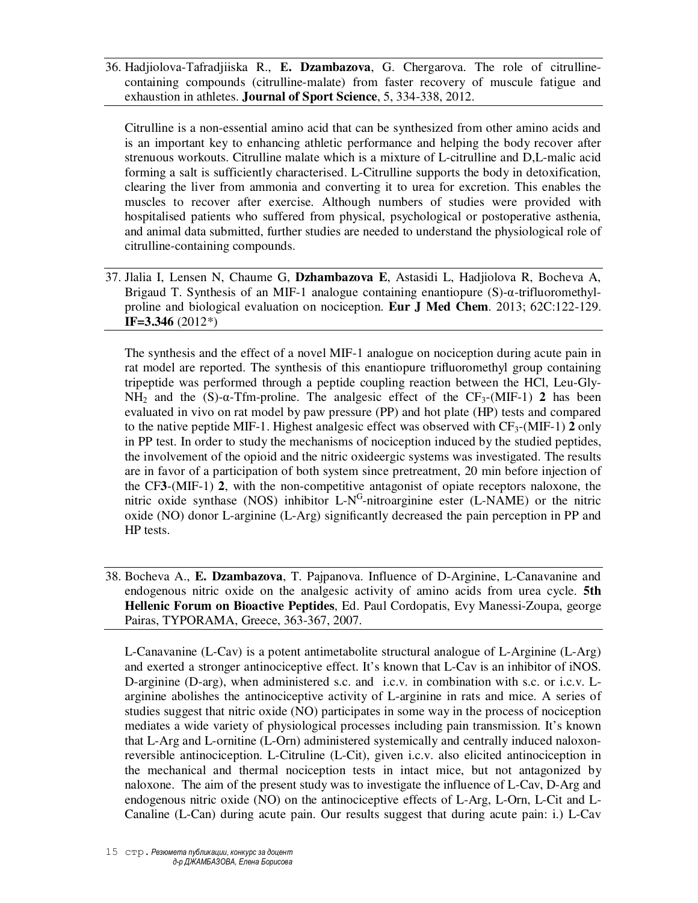36. Hadjiolova-Таfradjiiska R., **Е. Dzambazova**, G. Chergarova. The role of citrullinecontaining compounds (citrulline-malate) from faster recovery of muscule fatigue and exhaustion in athletes. **Journal of Sport Science**, 5, 334-338, 2012.

Citrulline is a non-essential amino acid that can be synthesized from other amino acids and is an important key to enhancing athletic performance and helping the body recover after strenuous workouts. Citrulline malate which is a mixture of L-citrulline and D,L-malic acid forming a salt is sufficiently characterised. L-Citrulline supports the body in detoxification, clearing the liver from ammonia and converting it to urea for excretion. This enables the muscles to recover after exercise. Although numbers of studies were provided with hospitalised patients who suffered from physical, psychological or postoperative asthenia, and animal data submitted, further studies are needed to understand the physiological role of citrulline-containing compounds.

37. Jlalia I, Lensen N, Chaume G, **Dzhambazova E**, Astasidi L, Hadjiolova R, Bocheva A, Brigaud T. Synthesis of an MIF-1 analogue containing enantiopure (S)-α-trifluoromethylproline and biological evaluation on nociception. **Eur J Med Chem**. 2013; 62C:122-129. **IF=3.346** (2012\*)

The synthesis and the effect of a novel MIF-1 analogue on nociception during acute pain in rat model are reported. The synthesis of this enantiopure trifluoromethyl group containing tripeptide was performed through a peptide coupling reaction between the HCl, Leu-Gly-NH<sub>2</sub> and the (S)- $\alpha$ -Tfm-proline. The analgesic effect of the CF<sub>3</sub>-(MIF-1) **2** has been evaluated in vivo on rat model by paw pressure (PP) and hot plate (HP) tests and compared to the native peptide MIF-1. Highest analgesic effect was observed with  $CF_3$ -(MIF-1) **2** only in PP test. In order to study the mechanisms of nociception induced by the studied peptides, the involvement of the opioid and the nitric oxideergic systems was investigated. The results are in favor of a participation of both system since pretreatment, 20 min before injection of the CF**3**-(MIF-1) **2**, with the non-competitive antagonist of opiate receptors naloxone, the nitric oxide synthase (NOS) inhibitor  $L-N<sup>G</sup>$ -nitroarginine ester (L-NAME) or the nitric oxide (NO) donor L-arginine (L-Arg) significantly decreased the pain perception in PP and HP tests.

38. Bocheva A., **E. Dzambazova**, T. Pajpanova. Influence of D-Arginine, L-Canavanine and endogenous nitric oxide on the analgesic activity of amino acids from urea cycle. **5th Hellenic Forum on Bioactive Peptides**, Ed. Paul Cordopatis, Evy Manessi-Zoupa, george Pairas, TYPORAMA, Greece, 363-367, 2007.

L-Canavanine (L-Cav) is a potent antimetabolite structural analogue of L-Arginine (L-Arg) and exerted a stronger antinociceptive effect. It's known that L-Cav is an inhibitor of iNOS. D-arginine (D-arg), when administered s.c. and i.c.v. in combination with s.c. or i.c.v. Larginine abolishes the antinociceptive activity of L-arginine in rats and mice. A series of studies suggest that nitric oxide (NO) participates in some way in the process of nociception mediates a wide variety of physiological processes including pain transmission. It's known that L-Arg and L-ornitine (L-Orn) administered systemically and centrally induced naloxonreversible antinociception. L-Citruline (L-Cit), given i.c.v. also elicited antinociception in the mechanical and thermal nociception tests in intact mice, but not antagonized by naloxone. The aim of the present study was to investigate the influence of L-Cav, D-Arg and endogenous nitric oxide (NO) on the antinociceptive effects of L-Arg, L-Orn, L-Cit and L-Canaline (L-Can) during acute pain. Our results suggest that during acute pain: i.) L-Cav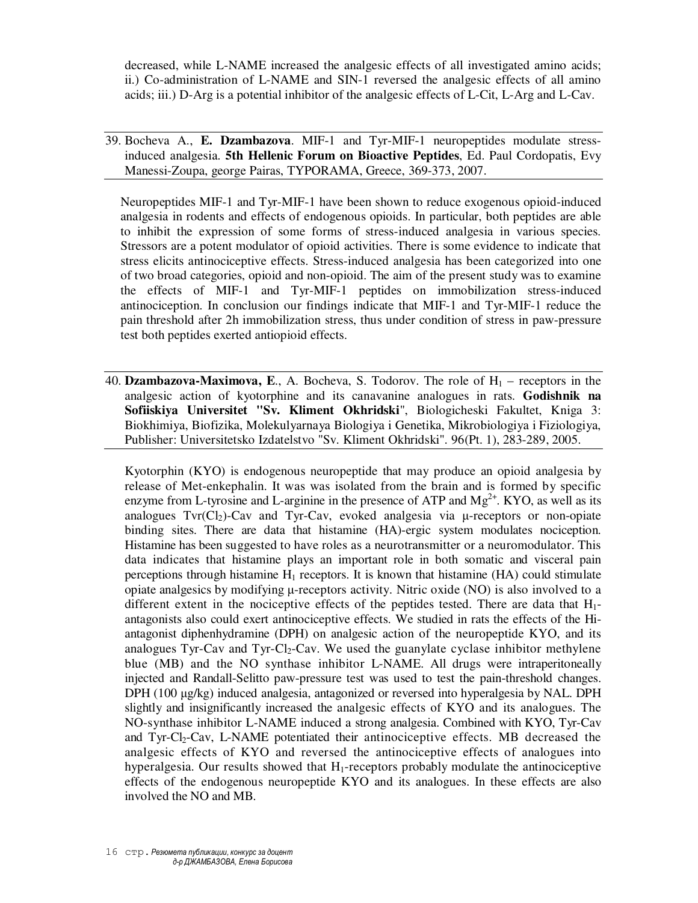decreased, while L-NAME increased the analgesic effects of all investigated amino acids; ii.) Co-administration of L-NAME and SIN-1 reversed the analgesic effects of all amino acids; iii.) D-Arg is a potential inhibitor of the analgesic effects of L-Cit, L-Arg and L-Cav.

39. Bocheva A., **E. Dzambazova**. MIF-1 and Tyr-MIF-1 neuropeptides modulate stressinduced analgesia. **5th Hellenic Forum on Bioactive Peptides**, Ed. Paul Cordopatis, Evy Manessi-Zoupa, george Pairas, TYPORAMA, Greece, 369-373, 2007.

Neuropeptides MIF-1 and Tyr-MIF-1 have been shown to reduce exogenous opioid-induced analgesia in rodents and effects of endogenous opioids. In particular, both peptides are able to inhibit the expression of some forms of stress-induced analgesia in various species. Stressors are a potent modulator of opioid activities. There is some evidence to indicate that stress elicits antinociceptive effects. Stress-induced analgesia has been categorized into one of two broad categories, opioid and non-opioid. The aim of the present study was to examine the effects of MIF-1 and Tyr-MIF-1 peptides on immobilization stress-induced antinociception. In conclusion our findings indicate that MIF-1 and Tyr-MIF-1 reduce the pain threshold after 2h immobilization stress, thus under condition of stress in paw-pressure test both peptides exerted antiopioid effects.

40. **Dzambazova-Maximova, E.**, A. Bocheva, S. Todorov. The role of  $H_1$  – receptors in the analgesic action of kyotorphine and its canavanine analogues in rats. **Godishnik na Sofiiskiya Universitet "Sv. Kliment Okhridski**", Biologicheski Fakultet, Kniga 3: Biokhimiya, Biofizika, Molekulyarnaya Biologiya i Genetika, Mikrobiologiya i Fiziologiya, Publisher: Universitetsko Izdatelstvo "Sv. Kliment Okhridski". 96(Pt. 1), 283-289, 2005.

Kyotorphin (KYO) is endogenous neuropeptide that may produce an opioid analgesia by release of Met-enkephalin. It was was isolated from the brain and is formed by specific enzyme from L-tyrosine and L-arginine in the presence of ATP and  $Mg^{2+}$ . KYO, as well as its analogues  $Tvr(Cl<sub>2</sub>)$ -Cav and Tyr-Cav, evoked analgesia via  $\mu$ -receptors or non-opiate binding sites. There are data that histamine (HA)-ergic system modulates nociception. Histamine has been suggested to have roles as a neurotransmitter or a neuromodulator. This data indicates that histamine plays an important role in both somatic and visceral pain perceptions through histamine  $H_1$  receptors. It is known that histamine (HA) could stimulate opiate analgesics by modifying  $\mu$ -receptors activity. Nitric oxide (NO) is also involved to a different extent in the nociceptive effects of the peptides tested. There are data that  $H_1$ antagonists also could exert antinociceptive effects. We studied in rats the effects of the Hiantagonist diphenhydramine (DPH) on analgesic action of the neuropeptide KYO, and its analogues Tyr-Cav and Tyr-Cl<sub>2</sub>-Cav. We used the guanylate cyclase inhibitor methylene blue (MB) and the NO synthase inhibitor L-NAME. All drugs were intraperitoneally injected and Randall-Selitto paw-pressure test was used to test the pain-threshold changes. DPH (100  $\mu$ g/kg) induced analgesia, antagonized or reversed into hyperalgesia by NAL. DPH slightly and insignificantly increased the analgesic effects of KYO and its analogues. The NO-synthase inhibitor L-NAME induced a strong analgesia. Combined with KYO, Tyr-Cav and Tyr-Cl2-Cav, L-NAME potentiated their antinociceptive effects. MB decreased the analgesic effects of KYO and reversed the antinociceptive effects of analogues into hyperalgesia. Our results showed that  $H_1$ -receptors probably modulate the antinociceptive effects of the endogenous neuropeptide KYO and its analogues. In these effects are also involved the NO and MB.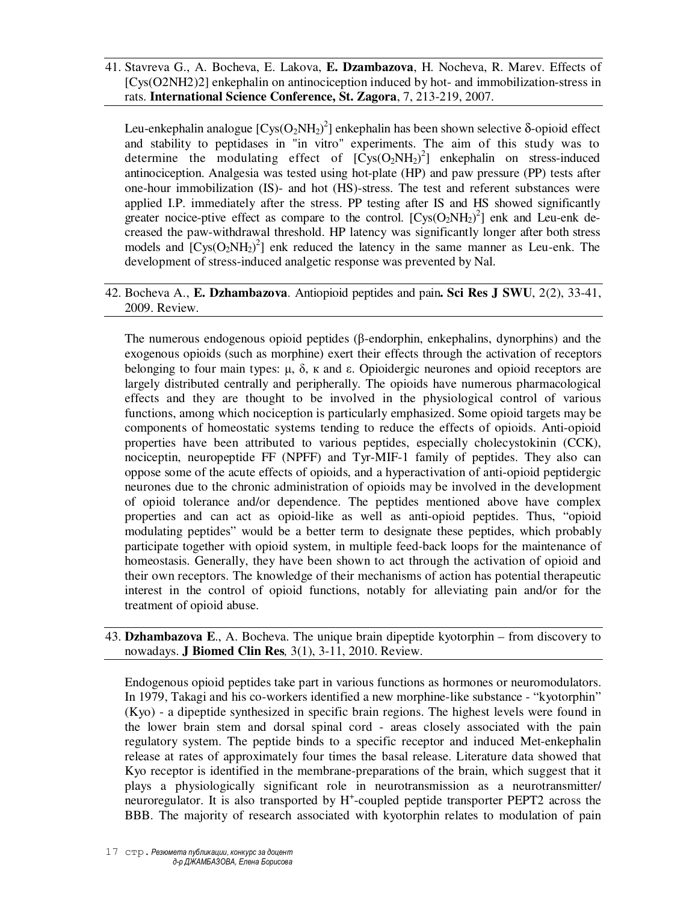41. Stavreva G., A. Bocheva, E. Lakova, **E. Dzambazova**, H. Nocheva, R. Marev. Effects of [Cys(O2NH2)2] enkephalin on antinociception induced by hot- and immobilization-stress in rats. **International Science Conference, St. Zagora**, 7, 213-219, 2007.

Leu-enkephalin analogue  $[Cys(O_2NH_2)^2]$  enkephalin has been shown selective δ-opioid effect and stability to peptidases in "in vitro" experiments. The aim of this study was to determine the modulating effect of  $[Cys(O_2NH_2)^2]$  enkephalin on stress-induced antinociception. Analgesia was tested using hot-plate (HP) and paw pressure (PP) tests after one-hour immobilization (IS)- and hot (HS)-stress. The test and referent substances were applied I.P. immediately after the stress. PP testing after IS and HS showed significantly greater nocice-ptive effect as compare to the control.  $[Cys(O_2NH_2)^2]$  enk and Leu-enk decreased the paw-withdrawal threshold. HP latency was significantly longer after both stress models and  $[Cys(O<sub>2</sub>NH<sub>2</sub>)<sup>2</sup>]$  enk reduced the latency in the same manner as Leu-enk. The development of stress-induced analgetic response was prevented by Nal.

## 42. Bocheva A., **E. Dzhambazova**. Antiopioid peptides and pain**. Sci Res J SWU**, 2(2), 33-41, 2009. Review.

The numerous endogenous opioid peptides (β-endorphin, enkephalins, dynorphins) and the exogenous opioids (such as morphine) exert their effects through the activation of receptors belonging to four main types:  $\mu$ ,  $\delta$ ,  $\kappa$  and  $\epsilon$ . Opioidergic neurones and opioid receptors are largely distributed centrally and peripherally. The opioids have numerous pharmacological effects and they are thought to be involved in the physiological control of various functions, among which nociception is particularly emphasized. Some opioid targets may be components of homeostatic systems tending to reduce the effects of opioids. Anti-opioid properties have been attributed to various peptides, especially cholecystokinin (CCK), nociceptin, neuropeptide FF (NPFF) and Tyr-MIF-1 family of peptides. They also can oppose some of the acute effects of opioids, and a hyperactivation of anti-opioid peptidergic neurones due to the chronic administration of opioids may be involved in the development of opioid tolerance and/or dependence. The peptides mentioned above have complex properties and can act as opioid-like as well as anti-opioid peptides. Thus, "opioid modulating peptides" would be a better term to designate these peptides, which probably participate together with opioid system, in multiple feed-back loops for the maintenance of homeostasis. Generally, they have been shown to act through the activation of opioid and their own receptors. The knowledge of their mechanisms of action has potential therapeutic interest in the control of opioid functions, notably for alleviating pain and/or for the treatment of opioid abuse.

43. **Dzhambazova E**., A. Bocheva. The unique brain dipeptide kyotorphin – from discovery to nowadays. **J Biomed Clin Res***,* 3(1), 3-11, 2010. Review.

Endogenous opioid peptides take part in various functions as hormones or neuromodulators. In 1979, Takagi and his co-workers identified a new morphine-like substance - "kyotorphin" (Kyo) - a dipeptide synthesized in specific brain regions. The highest levels were found in the lower brain stem and dorsal spinal cord - areas closely associated with the pain regulatory system. The peptide binds to a specific receptor and induced Met-enkephalin release at rates of approximately four times the basal release. Literature data showed that Kyo receptor is identified in the membrane-preparations of the brain, which suggest that it plays a physiologically significant role in neurotransmission as a neurotransmitter/ neuroregulator. It is also transported by H<sup>+</sup>-coupled peptide transporter PEPT2 across the BBB. The majority of research associated with kyotorphin relates to modulation of pain